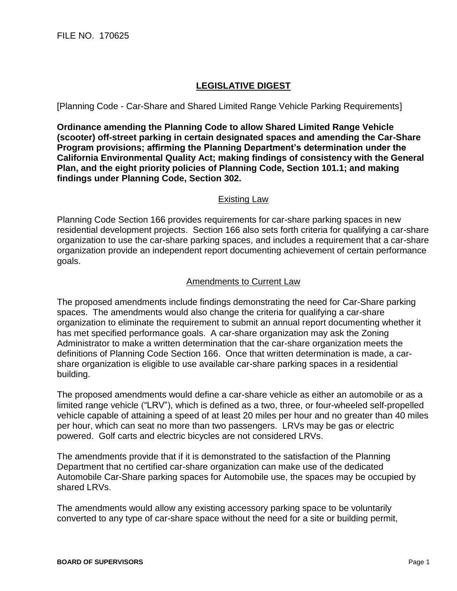## **LEGISLATIVE DIGEST**

[Planning Code - Car-Share and Shared Limited Range Vehicle Parking Requirements]

**Ordinance amending the Planning Code to allow Shared Limited Range Vehicle (scooter) off-street parking in certain designated spaces and amending the Car-Share Program provisions; affirming the Planning Department's determination under the California Environmental Quality Act; making findings of consistency with the General Plan, and the eight priority policies of Planning Code, Section 101.1; and making findings under Planning Code, Section 302.**

## Existing Law

Planning Code Section 166 provides requirements for car-share parking spaces in new residential development projects. Section 166 also sets forth criteria for qualifying a car-share organization to use the car-share parking spaces, and includes a requirement that a car-share organization provide an independent report documenting achievement of certain performance goals.

## Amendments to Current Law

The proposed amendments include findings demonstrating the need for Car-Share parking spaces. The amendments would also change the criteria for qualifying a car-share organization to eliminate the requirement to submit an annual report documenting whether it has met specified performance goals. A car-share organization may ask the Zoning Administrator to make a written determination that the car-share organization meets the definitions of Planning Code Section 166. Once that written determination is made, a carshare organization is eligible to use available car-share parking spaces in a residential building.

The proposed amendments would define a car-share vehicle as either an automobile or as a limited range vehicle ("LRV"), which is defined as a two, three, or four-wheeled self-propelled vehicle capable of attaining a speed of at least 20 miles per hour and no greater than 40 miles per hour, which can seat no more than two passengers. LRVs may be gas or electric powered. Golf carts and electric bicycles are not considered LRVs.

The amendments provide that if it is demonstrated to the satisfaction of the Planning Department that no certified car-share organization can make use of the dedicated Automobile Car-Share parking spaces for Automobile use, the spaces may be occupied by shared LRVs.

The amendments would allow any existing accessory parking space to be voluntarily converted to any type of car-share space without the need for a site or building permit,